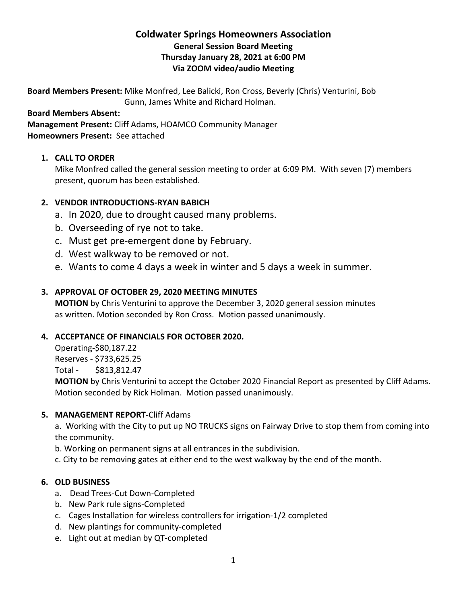# **Coldwater Springs Homeowners Association General Session Board Meeting Thursday January 28, 2021 at 6:00 PM Via ZOOM video/audio Meeting**

**Board Members Present:** Mike Monfred, Lee Balicki, Ron Cross, Beverly (Chris) Venturini, Bob Gunn, James White and Richard Holman.

**Board Members Absent:**

**Management Present:** Cliff Adams, HOAMCO Community Manager **Homeowners Present:** See attached

# **1. CALL TO ORDER**

Mike Monfred called the general session meeting to order at 6:09 PM. With seven (7) members present, quorum has been established.

### **2. VENDOR INTRODUCTIONS-RYAN BABICH**

- a. In 2020, due to drought caused many problems.
- b. Overseeding of rye not to take.
- c. Must get pre-emergent done by February.
- d. West walkway to be removed or not.
- e. Wants to come 4 days a week in winter and 5 days a week in summer.

### **3. APPROVAL OF OCTOBER 29, 2020 MEETING MINUTES**

**MOTION** by Chris Venturini to approve the December 3, 2020 general session minutes as written. Motion seconded by Ron Cross. Motion passed unanimously.

# **4. ACCEPTANCE OF FINANCIALS FOR OCTOBER 2020.**

Operating-\$80,187.22 Reserves - \$733,625.25 Total - \$813,812.47

**MOTION** by Chris Venturini to accept the October 2020 Financial Report as presented by Cliff Adams. Motion seconded by Rick Holman. Motion passed unanimously.

### **5. MANAGEMENT REPORT-**Cliff Adams

a. Working with the City to put up NO TRUCKS signs on Fairway Drive to stop them from coming into the community.

b. Working on permanent signs at all entrances in the subdivision.

c. City to be removing gates at either end to the west walkway by the end of the month.

# **6. OLD BUSINESS**

- a. Dead Trees-Cut Down-Completed
- b. New Park rule signs-Completed
- c. Cages Installation for wireless controllers for irrigation-1/2 completed
- d. New plantings for community-completed
- e. Light out at median by QT-completed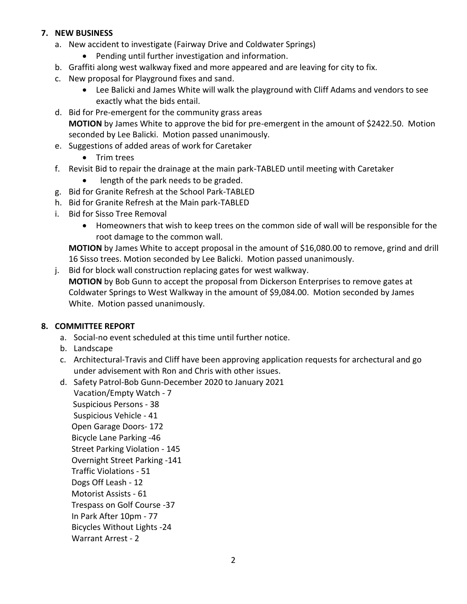# **7. NEW BUSINESS**

- a. New accident to investigate (Fairway Drive and Coldwater Springs)
	- Pending until further investigation and information.
- b. Graffiti along west walkway fixed and more appeared and are leaving for city to fix.
- c. New proposal for Playground fixes and sand.
	- Lee Balicki and James White will walk the playground with Cliff Adams and vendors to see exactly what the bids entail.
- d. Bid for Pre-emergent for the community grass areas **MOTION** by James White to approve the bid for pre-emergent in the amount of \$2422.50. Motion seconded by Lee Balicki. Motion passed unanimously.
- e. Suggestions of added areas of work for Caretaker
	- Trim trees
- f. Revisit Bid to repair the drainage at the main park-TABLED until meeting with Caretaker
	- length of the park needs to be graded.
- g. Bid for Granite Refresh at the School Park-TABLED
- h. Bid for Granite Refresh at the Main park-TABLED
- i. Bid for Sisso Tree Removal
	- Homeowners that wish to keep trees on the common side of wall will be responsible for the root damage to the common wall.

**MOTION** by James White to accept proposal in the amount of \$16,080.00 to remove, grind and drill 16 Sisso trees. Motion seconded by Lee Balicki. Motion passed unanimously.

j. Bid for block wall construction replacing gates for west walkway. **MOTION** by Bob Gunn to accept the proposal from Dickerson Enterprises to remove gates at Coldwater Springs to West Walkway in the amount of \$9,084.00. Motion seconded by James White. Motion passed unanimously.

### **8. COMMITTEE REPORT**

- a. Social-no event scheduled at this time until further notice.
- b. Landscape
- c. Architectural-Travis and Cliff have been approving application requests for archectural and go under advisement with Ron and Chris with other issues.
- d. Safety Patrol-Bob Gunn-December 2020 to January 2021 Vacation/Empty Watch - 7

 Suspicious Persons - 38 Suspicious Vehicle - 41 Open Garage Doors- 172 Bicycle Lane Parking -46 Street Parking Violation - 145 Overnight Street Parking -141 Traffic Violations - 51 Dogs Off Leash - 12 Motorist Assists - 61 Trespass on Golf Course -37 In Park After 10pm - 77 Bicycles Without Lights -24 Warrant Arrest - 2